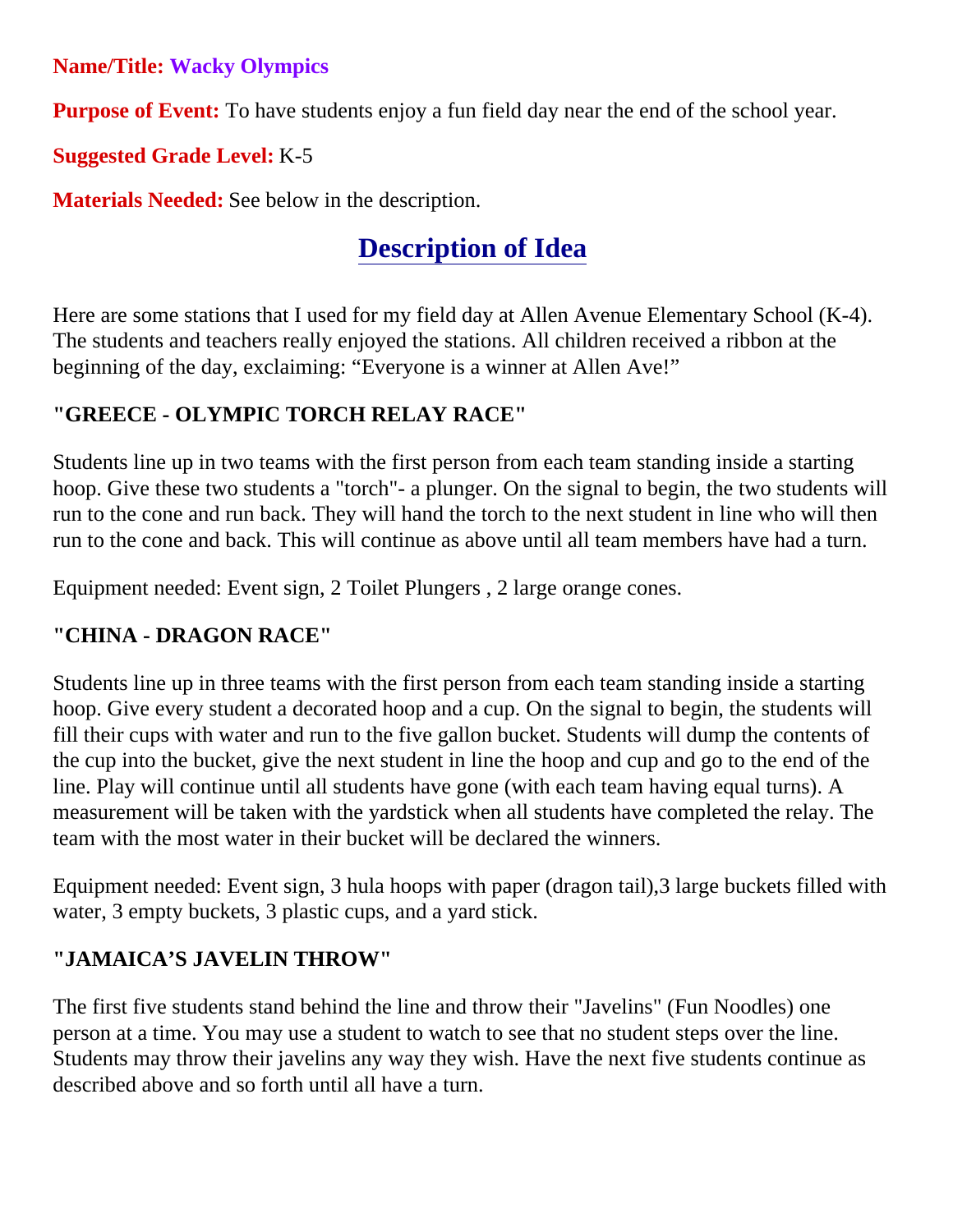**Name/Title: Wacky Olympics** 

**Purpose of Event:** To have students enjoy a fun field day near the end of the school year.

**Suggested Grade Level:** K-5

**Materials Needed:** See below in the description.

# **Description of Idea**

Here are some stations that I used for my field day at Allen Avenue Elementary School (K-4). The students and teachers really enjoyed the stations. All children received a ribbon at the beginning of the day, exclaiming: "Everyone is a winner at Allen Ave!"

## **"GREECE - OLYMPIC TORCH RELAY RACE"**

Students line up in two teams with the first person from each team standing inside a starting hoop. Give these two students a "torch"- a plunger. On the signal to begin, the two students will run to the cone and run back. They will hand the torch to the next student in line who will then run to the cone and back. This will continue as above until all team members have had a turn.

Equipment needed: Event sign, 2 Toilet Plungers , 2 large orange cones.

## **"CHINA - DRAGON RACE"**

Students line up in three teams with the first person from each team standing inside a starting hoop. Give every student a decorated hoop and a cup. On the signal to begin, the students will fill their cups with water and run to the five gallon bucket. Students will dump the contents of the cup into the bucket, give the next student in line the hoop and cup and go to the end of the line. Play will continue until all students have gone (with each team having equal turns). A measurement will be taken with the yardstick when all students have completed the relay. The team with the most water in their bucket will be declared the winners.

Equipment needed: Event sign, 3 hula hoops with paper (dragon tail),3 large buckets filled with water, 3 empty buckets, 3 plastic cups, and a yard stick.

## **"JAMAICA'S JAVELIN THROW"**

The first five students stand behind the line and throw their "Javelins" (Fun Noodles) one person at a time. You may use a student to watch to see that no student steps over the line. Students may throw their javelins any way they wish. Have the next five students continue as described above and so forth until all have a turn.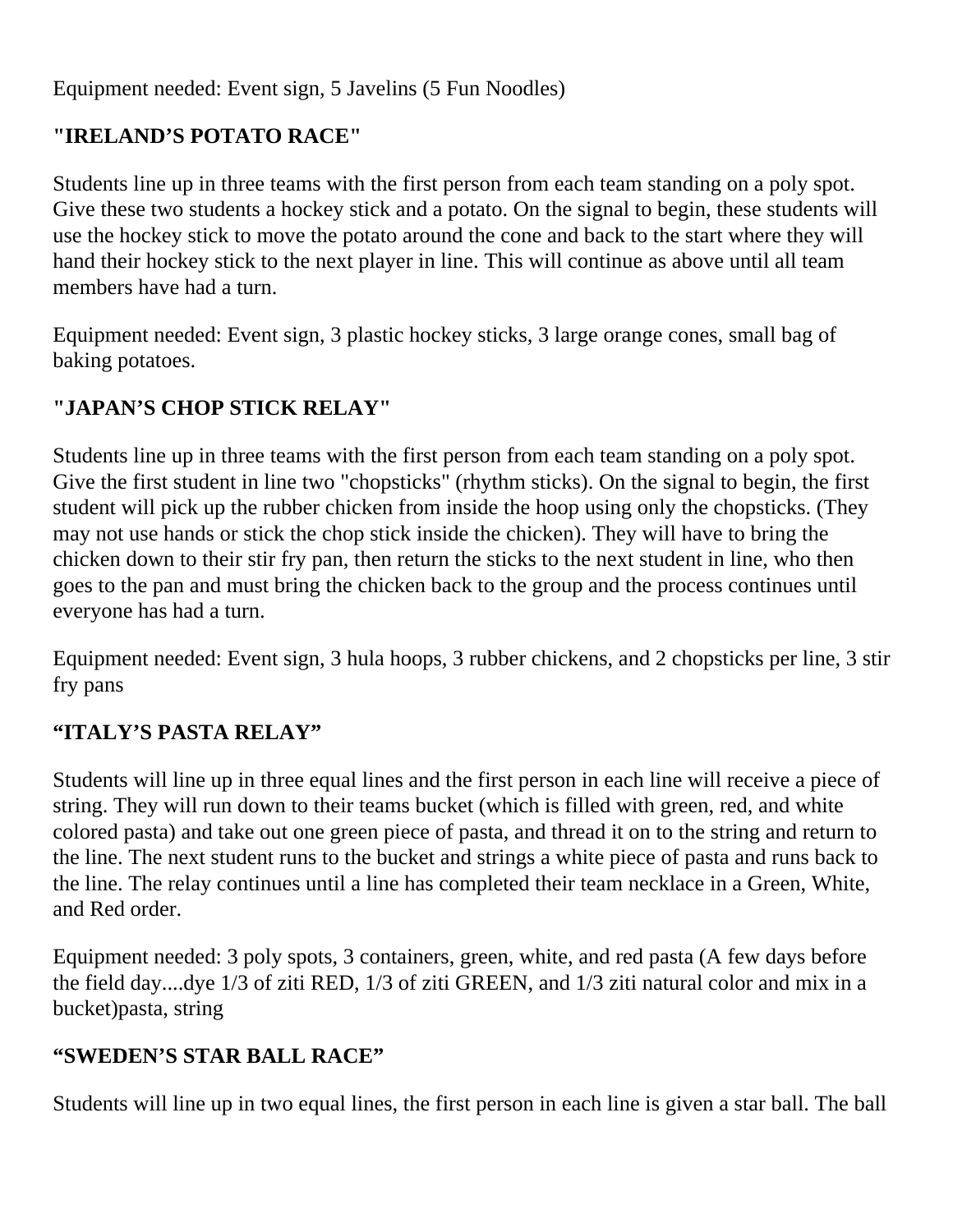Equipment needed: Event sign, 5 Javelins (5 Fun Noodles)

### **"IRELAND'S POTATO RACE"**

Students line up in three teams with the first person from each team standing on a poly spot. Give these two students a hockey stick and a potato. On the signal to begin, these students will use the hockey stick to move the potato around the cone and back to the start where they will hand their hockey stick to the next player in line. This will continue as above until all team members have had a turn.

Equipment needed: Event sign, 3 plastic hockey sticks, 3 large orange cones, small bag of baking potatoes.

#### **"JAPAN'S CHOP STICK RELAY"**

Students line up in three teams with the first person from each team standing on a poly spot. Give the first student in line two "chopsticks" (rhythm sticks). On the signal to begin, the first student will pick up the rubber chicken from inside the hoop using only the chopsticks. (They may not use hands or stick the chop stick inside the chicken). They will have to bring the chicken down to their stir fry pan, then return the sticks to the next student in line, who then goes to the pan and must bring the chicken back to the group and the process continues until everyone has had a turn.

Equipment needed: Event sign, 3 hula hoops, 3 rubber chickens, and 2 chopsticks per line, 3 stir fry pans

#### **"ITALY'S PASTA RELAY"**

Students will line up in three equal lines and the first person in each line will receive a piece of string. They will run down to their teams bucket (which is filled with green, red, and white colored pasta) and take out one green piece of pasta, and thread it on to the string and return to the line. The next student runs to the bucket and strings a white piece of pasta and runs back to the line. The relay continues until a line has completed their team necklace in a Green, White, and Red order.

Equipment needed: 3 poly spots, 3 containers, green, white, and red pasta (A few days before the field day....dye 1/3 of ziti RED, 1/3 of ziti GREEN, and 1/3 ziti natural color and mix in a bucket)pasta, string

#### **"SWEDEN'S STAR BALL RACE"**

Students will line up in two equal lines, the first person in each line is given a star ball. The ball